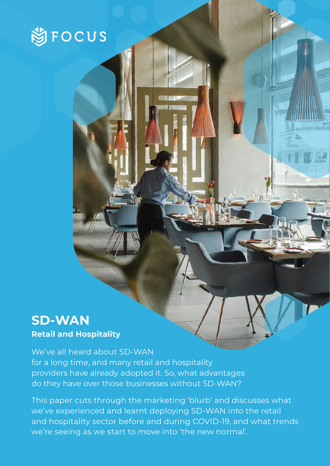

## **SD-WAN**

**Retail and Hospitality**

We've all heard about SD-WAN for a long time, and many retail and hospitality providers have already adopted it. So, what advantages do they have over those businesses without SD-WAN?

This paper cuts through the marketing 'blurb' and discusses what we've experienced and learnt deploying SD-WAN into the retail and hospitality sector before and during COVID-19, and what trends we're seeing as we start to move into 'the new normal'.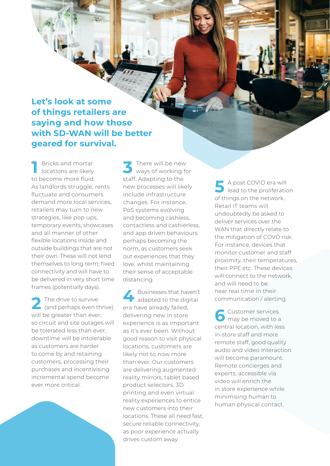**Let's look at some of things retailers are saying and how those with SD-WAN will be better geared for survival.** 

**1** Bricks and mortar **19 3**<br>**1 3 3** locations are likely to become more fluid. As landlords struggle, rents fluctuate and consumers demand more local services, retailers may turn to new strategies, like pop ups, temporary events, showcases and all manner of other flexible locations inside and outside buildings that are not their own. These will not lend themselves to long term, fixed connectivity and will have to be delivered in very short time frames (potentially days).

The drive to survive The drive to survive<br>
and perhaps even thrive) era will be greater than ever, so circuit and site outages will be tolerated less than ever, downtime will be intolerable as customers are harder to come by and retaining customers, processing their purchases and incentivising incremental spend become ever more critical.

There will be new ways of working for staff. Adapting to the new processes will likely include infrastructure changes. For instance, PoS systems evolving and becoming cashless, contactless and cashierless, and app driven behaviours perhaps becoming the norm, as customers seek out experiences that they love, whilst maintaining their sense of acceptable distancing.

Businesses that haven't  $\blacksquare$  adapted to the digital era have already failed, delivering new in store experience is as important as it's ever been. Without good reason to visit physical locations, customers are likely not to now more than ever. Our customers are delivering augmented reality mirrors, tablet based product selectors, 3D printing and even virtual reality experiences to entice new customers into their locations. These all need fast, secure reliable connectivity, as poor experience actually drives custom away.

A post COVID era will lead to the proliferation of things on the network. Retail IT teams will undoubtedly be asked to deliver services over the WAN that directly relate to the mitigation of COVD risk. For instance, devices that monitor customer and staff proximity, their temperatures, their PPE etc. These devices will connect to the network and will need to be near real time in their communication / alerting. **5**

Customer services may be moved to a central location, with less in-store staff and more remote staff, good quality audio and video interaction will become paramount. Remote concierges and experts, accessible via video will enrich the in store experience while minimising human to human physical contact. **6**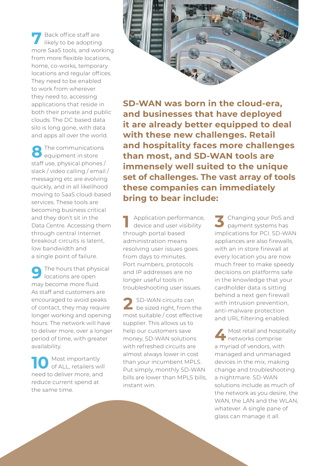Back office staff are likely to be adopting more SaaS tools, and working from more flexible locations, home, co-works, temporary locations and regular offices. They need to be enabled to work from wherever they need to, accessing applications that reside in both their private and public clouds. The DC based data silo is long gone, with data and apps all over the world. **7**

The communications equipment in store staff use, physical phones / slack / video calling / email / messaging etc are evolving quickly, and in all likelihood moving to SaaS cloud-based services. These tools are becoming business critical and they don't sit in the Data Centre. Accessing them through central Internet breakout circuits is latent, low bandwidth and a single point of failure. **8**

The hours that physical locations are open may become more fluid. As staff and customers are encouraged to avoid peaks of contact, they may require longer working and opening hours. The network will have to deliver more, over a longer period of time, with greater availability. **9**

Most importantly of ALL, retailers will need to deliver more, and reduce current spend at the same time. **10**



**SD-WAN was born in the cloud-era, and businesses that have deployed it are already better equipped to deal with these new challenges. Retail and hospitality faces more challenges than most, and SD-WAN tools are immensely well suited to the unique set of challenges. The vast array of tools these companies can immediately bring to bear include:**

1 Application performance,<br>
device and user visibility device and user visibility through portal based administration means resolving user issues goes from days to minutes. Port numbers, protocols and IP addresses are no longer useful tools in troubleshooting user issues.

SD-WAN circuits can **2** SD-WAN circuits can<br>be sized right, from the most suitable / cost effective supplier. This allows us to help our customers save money, SD-WAN solutions with refreshed circuits are almost always lower in cost than your incumbent MPLS. Put simply, monthly SD-WAN bills are lower than MPLS bills, instant win.

Changing your PoS and payment systems has implications for PCI. SD-WAN appliances are also firewalls, with an in store firewall at every location you are now much freer to make speedy decisions on platforms safe in the knowledge that your cardholder data is sitting behind a next gen firewall with intrusion prevention, anti-malware protection and URL filtering enabled.

Most retail and hospitality<br>**1** networks comprise networks comprise a myriad of vendors, with managed and unmanaged devices in the mix, making change and troubleshooting a nightmare. SD-WAN solutions include as much of the network as you desire, the WAN, the LAN and the WLAN, whatever. A single pane of glass can manage it all.